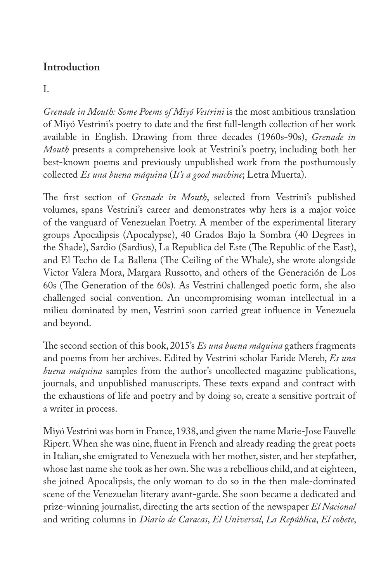## **Introduction**

I.

*Grenade in Mouth: Some Poems of Miyó Vestrini* is the most ambitious translation of Miyó Vestrini's poetry to date and the first full-length collection of her work available in English. Drawing from three decades (1960s-90s), *Grenade in Mouth* presents a comprehensive look at Vestrini's poetry, including both her best-known poems and previously unpublished work from the posthumously collected *Es una buena máquina* (*It's a good machine*; Letra Muerta).

The first section of *Grenade in Mouth*, selected from Vestrini's published volumes, spans Vestrini's career and demonstrates why hers is a major voice of the vanguard of Venezuelan Poetry. A member of the experimental literary groups Apocalipsis (Apocalypse), 40 Grados Bajo la Sombra (40 Degrees in the Shade), Sardio (Sardius), La Republica del Este (The Republic of the East), and El Techo de La Ballena (The Ceiling of the Whale), she wrote alongside Victor Valera Mora, Margara Russotto, and others of the Generación de Los 60s (The Generation of the 60s). As Vestrini challenged poetic form, she also challenged social convention. An uncompromising woman intellectual in a milieu dominated by men, Vestrini soon carried great influence in Venezuela and beyond.

The second section of this book, 2015's *Es una buena máquina* gathers fragments and poems from her archives. Edited by Vestrini scholar Faride Mereb, *Es una buena máquina* samples from the author's uncollected magazine publications, journals, and unpublished manuscripts. These texts expand and contract with the exhaustions of life and poetry and by doing so, create a sensitive portrait of a writer in process.

Miyó Vestrini was born in France, 1938, and given the name Marie-Jose Fauvelle Ripert. When she was nine, fluent in French and already reading the great poets in Italian, she emigrated to Venezuela with her mother, sister, and her stepfather, whose last name she took as her own. She was a rebellious child, and at eighteen, she joined Apocalipsis, the only woman to do so in the then male-dominated scene of the Venezuelan literary avant-garde. She soon became a dedicated and prize-winning journalist, directing the arts section of the newspaper *El Nacional* and writing columns in *Diario de Caracas*, *El Universal*, *La República*, *El cohete*,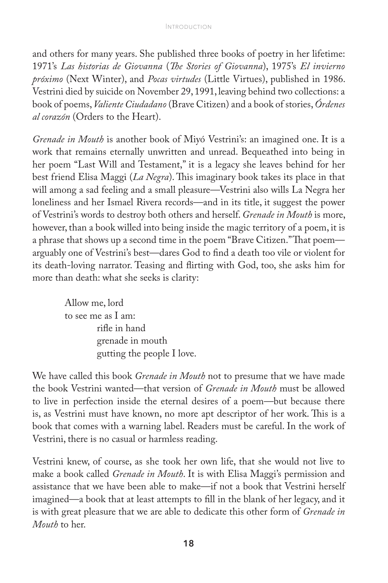and others for many years. She published three books of poetry in her lifetime: 1971's *Las historias de Giovanna* (*The Stories of Giovanna*), 1975's *El invierno próximo* (Next Winter), and *Pocas virtudes* (Little Virtues), published in 1986. Vestrini died by suicide on November 29, 1991, leaving behind two collections: a book of poems, *Valiente Ciudadano* (Brave Citizen) and a book of stories, *Órdenes al corazón* (Orders to the Heart).

*Grenade in Mouth* is another book of Miyó Vestrini's: an imagined one. It is a work that remains eternally unwritten and unread. Bequeathed into being in her poem "Last Will and Testament," it is a legacy she leaves behind for her best friend Elisa Maggi (*La Negra*). This imaginary book takes its place in that will among a sad feeling and a small pleasure—Vestrini also wills La Negra her loneliness and her Ismael Rivera records—and in its title, it suggest the power of Vestrini's words to destroy both others and herself. *Grenade in Mouth* is more, however, than a book willed into being inside the magic territory of a poem, it is a phrase that shows up a second time in the poem "Brave Citizen." That poem arguably one of Vestrini's best—dares God to find a death too vile or violent for its death-loving narrator. Teasing and flirting with God, too, she asks him for more than death: what she seeks is clarity:

> Allow me, lord to see me as I am: rifle in hand grenade in mouth gutting the people I love.

We have called this book *Grenade in Mouth* not to presume that we have made the book Vestrini wanted—that version of *Grenade in Mouth* must be allowed to live in perfection inside the eternal desires of a poem—but because there is, as Vestrini must have known, no more apt descriptor of her work. This is a book that comes with a warning label. Readers must be careful. In the work of Vestrini, there is no casual or harmless reading.

Vestrini knew, of course, as she took her own life, that she would not live to make a book called *Grenade in Mouth*. It is with Elisa Maggi's permission and assistance that we have been able to make—if not a book that Vestrini herself imagined—a book that at least attempts to fill in the blank of her legacy, and it is with great pleasure that we are able to dedicate this other form of *Grenade in Mouth* to her.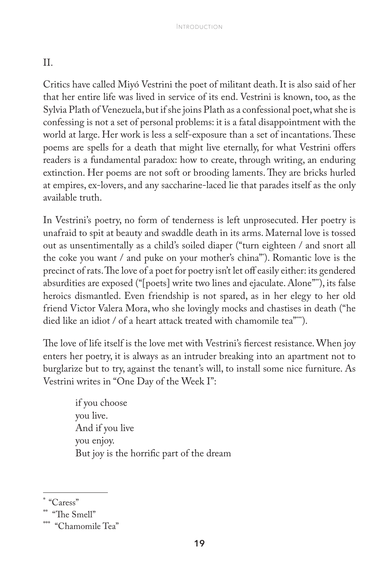## II.

Critics have called Miyó Vestrini the poet of militant death. It is also said of her that her entire life was lived in service of its end. Vestrini is known, too, as the Sylvia Plath of Venezuela, but if she joins Plath as a confessional poet, what she is confessing is not a set of personal problems: it is a fatal disappointment with the world at large. Her work is less a self-exposure than a set of incantations. These poems are spells for a death that might live eternally, for what Vestrini offers readers is a fundamental paradox: how to create, through writing, an enduring extinction. Her poems are not soft or brooding laments. They are bricks hurled at empires, ex-lovers, and any saccharine-laced lie that parades itself as the only available truth.

In Vestrini's poetry, no form of tenderness is left unprosecuted. Her poetry is unafraid to spit at beauty and swaddle death in its arms. Maternal love is tossed out as unsentimentally as a child's soiled diaper ("turn eighteen / and snort all the coke you want / and puke on your mother's china"\* ). Romantic love is the precinct of rats. The love of a poet for poetry isn't let off easily either: its gendered absurdities are exposed ("[poets] write two lines and ejaculate. Alone"\*\*), its false heroics dismantled. Even friendship is not spared, as in her elegy to her old friend Victor Valera Mora, who she lovingly mocks and chastises in death ("he died like an idiot / of a heart attack treated with chamomile tea"\*\*\*).

The love of life itself is the love met with Vestrini's fiercest resistance. When joy enters her poetry, it is always as an intruder breaking into an apartment not to burglarize but to try, against the tenant's will, to install some nice furniture. As Vestrini writes in "One Day of the Week I":

> if you choose you live. And if you live you enjoy. But joy is the horrific part of the dream

<sup>\*</sup> "Caress"

<sup>\*\*</sup> "The Smell"

<sup>\*\*\* &</sup>quot;Chamomile Tea"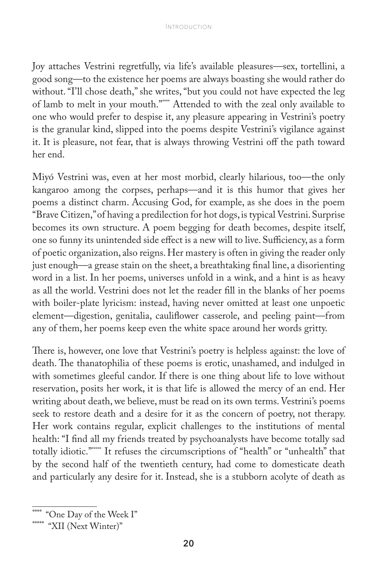Joy attaches Vestrini regretfully, via life's available pleasures—sex, tortellini, a good song—to the existence her poems are always boasting she would rather do without. "I'll chose death," she writes, "but you could not have expected the leg of lamb to melt in your mouth."\*\*\*\* Attended to with the zeal only available to one who would prefer to despise it, any pleasure appearing in Vestrini's poetry is the granular kind, slipped into the poems despite Vestrini's vigilance against it. It is pleasure, not fear, that is always throwing Vestrini off the path toward her end.

Miyó Vestrini was, even at her most morbid, clearly hilarious, too—the only kangaroo among the corpses, perhaps—and it is this humor that gives her poems a distinct charm. Accusing God, for example, as she does in the poem "Brave Citizen," of having a predilection for hot dogs, is typical Vestrini. Surprise becomes its own structure. A poem begging for death becomes, despite itself, one so funny its unintended side effect is a new will to live. Sufficiency, as a form of poetic organization, also reigns. Her mastery is often in giving the reader only just enough—a grease stain on the sheet, a breathtaking final line, a disorienting word in a list. In her poems, universes unfold in a wink, and a hint is as heavy as all the world. Vestrini does not let the reader fill in the blanks of her poems with boiler-plate lyricism: instead, having never omitted at least one unpoetic element—digestion, genitalia, cauliflower casserole, and peeling paint—from any of them, her poems keep even the white space around her words gritty.

There is, however, one love that Vestrini's poetry is helpless against: the love of death. The thanatophilia of these poems is erotic, unashamed, and indulged in with sometimes gleeful candor. If there is one thing about life to love without reservation, posits her work, it is that life is allowed the mercy of an end. Her writing about death, we believe, must be read on its own terms. Vestrini's poems seek to restore death and a desire for it as the concern of poetry, not therapy. Her work contains regular, explicit challenges to the institutions of mental health: "I find all my friends treated by psychoanalysts have become totally sad totally idiotic."\*\*\*\*\* It refuses the circumscriptions of "health" or "unhealth" that by the second half of the twentieth century, had come to domesticate death and particularly any desire for it. Instead, she is a stubborn acolyte of death as

<sup>\*\*\*\* &</sup>quot;One Day of the Week I"

<sup>\*\*\*\*\* &</sup>quot;XII (Next Winter)"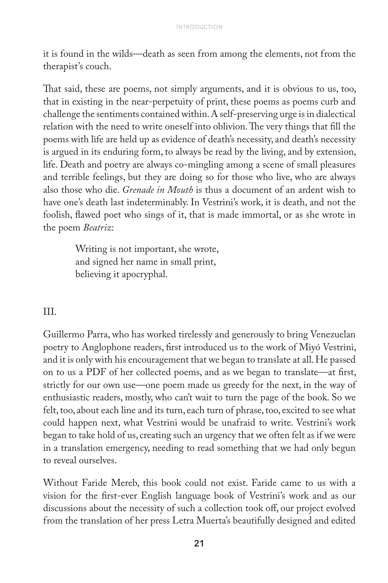it is found in the wilds—death as seen from among the elements, not from the therapist's couch.

That said, these are poems, not simply arguments, and it is obvious to us, too, that in existing in the near-perpetuity of print, these poems as poems curb and challenge the sentiments contained within. A self-preserving urge is in dialectical relation with the need to write oneself into oblivion. The very things that fill the poems with life are held up as evidence of death's necessity, and death's necessity is argued in its enduring form, to always be read by the living, and by extension, life. Death and poetry are always co-mingling among a scene of small pleasures and terrible feelings, but they are doing so for those who live, who are always also those who die. *Grenade in Mouth* is thus a document of an ardent wish to have one's death last indeterminably. In Vestrini's work, it is death, and not the foolish, flawed poet who sings of it, that is made immortal, or as she wrote in the poem *Beatriz*:

> Writing is not important, she wrote, and signed her name in small print, believing it apocryphal.

## III.

Guillermo Parra, who has worked tirelessly and generously to bring Venezuelan poetry to Anglophone readers, first introduced us to the work of Miyó Vestrini, and it is only with his encouragement that we began to translate at all. He passed on to us a PDF of her collected poems, and as we began to translate—at first, strictly for our own use—one poem made us greedy for the next, in the way of enthusiastic readers, mostly, who can't wait to turn the page of the book. So we felt, too, about each line and its turn, each turn of phrase, too, excited to see what could happen next, what Vestrini would be unafraid to write. Vestrini's work began to take hold of us, creating such an urgency that we often felt as if we were in a translation emergency, needing to read something that we had only begun to reveal ourselves.

Without Faride Mereb, this book could not exist. Faride came to us with a vision for the first-ever English language book of Vestrini's work and as our discussions about the necessity of such a collection took off, our project evolved from the translation of her press Letra Muerta's beautifully designed and edited